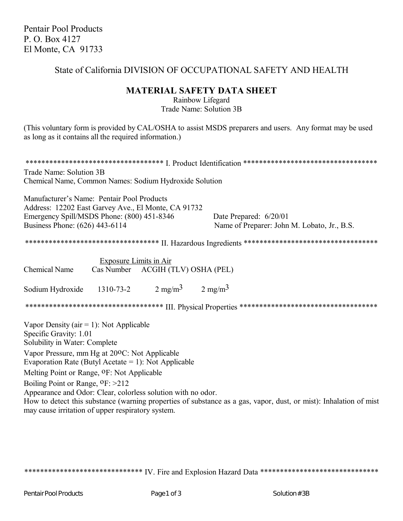Pentair Pool Products P. O. Box 4127 El Monte, CA 91733

## State of California DIVISION OF OCCUPATIONAL SAFETY AND HEALTH

## **MATERIAL SAFETY DATA SHEET**

Rainbow Lifegard Trade Name: Solution 3B

(This voluntary form is provided by CAL/OSHA to assist MSDS preparers and users. Any format may be used as long as it contains all the required information.)

| Trade Name: Solution 3B<br>Chemical Name, Common Names: Sodium Hydroxide Solution                                                                                                                                                                                                      |
|----------------------------------------------------------------------------------------------------------------------------------------------------------------------------------------------------------------------------------------------------------------------------------------|
| Manufacturer's Name: Pentair Pool Products<br>Address: 12202 East Garvey Ave., El Monte, CA 91732<br>Emergency Spill/MSDS Phone: (800) 451-8346<br>Date Prepared: 6/20/01<br>Business Phone: (626) 443-6114<br>Name of Preparer: John M. Lobato, Jr., B.S.                             |
|                                                                                                                                                                                                                                                                                        |
| <b>Exposure Limits in Air</b><br>Chemical Name<br>Cas Number ACGIH (TLV) OSHA (PEL)                                                                                                                                                                                                    |
| Sodium Hydroxide 1310-73-2 $2 \text{ mg/m}^3$ $2 \text{ mg/m}^3$                                                                                                                                                                                                                       |
|                                                                                                                                                                                                                                                                                        |
| Vapor Density ( $air = 1$ ): Not Applicable<br>Specific Gravity: 1.01<br>Solubility in Water: Complete                                                                                                                                                                                 |
| Vapor Pressure, mm Hg at 200C: Not Applicable<br>Evaporation Rate (Butyl Acetate = 1): Not Applicable                                                                                                                                                                                  |
| Melting Point or Range, <sup>O</sup> F: Not Applicable                                                                                                                                                                                                                                 |
| Boiling Point or Range, <sup>O</sup> F: >212<br>Appearance and Odor: Clear, colorless solution with no odor.<br>How to detect this substance (warning properties of substance as a gas, vapor, dust, or mist): Inhalation of mist<br>may cause irritation of upper respiratory system. |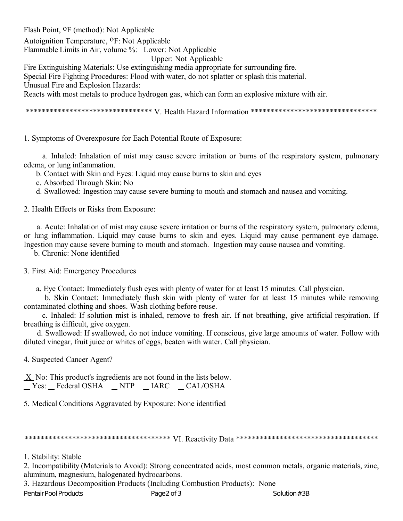Flash Point, oF (method): Not Applicable

Autoignition Temperature, <sup>O</sup>F: Not Applicable

Flammable Limits in Air, volume %: Lower: Not Applicable

Upper: Not Applicable

Fire Extinguishing Materials: Use extinguishing media appropriate for surrounding fire.

Special Fire Fighting Procedures: Flood with water, do not splatter or splash this material.

Unusual Fire and Explosion Hazards:

Reacts with most metals to produce hydrogen gas, which can form an explosive mixture with air.

\*\*\*\*\*\*\*\*\*\*\*\*\*\*\*\*\*\*\*\*\*\*\*\*\*\*\*\*\*\*\*\* V. Health Hazard Information \*\*\*\*\*\*\*\*\*\*\*\*\*\*\*\*\*\*\*\*\*\*\*\*\*\*\*\*\*\*\*\*

1. Symptoms of Overexposure for Each Potential Route of Exposure:

 a. Inhaled: Inhalation of mist may cause severe irritation or burns of the respiratory system, pulmonary edema, or lung inflammation.

b. Contact with Skin and Eyes: Liquid may cause burns to skin and eyes

c. Absorbed Through Skin: No

d. Swallowed: Ingestion may cause severe burning to mouth and stomach and nausea and vomiting.

2. Health Effects or Risks from Exposure:

 a. Acute: Inhalation of mist may cause severe irritation or burns of the respiratory system, pulmonary edema, or lung inflammation. Liquid may cause burns to skin and eyes. Liquid may cause permanent eye damage. Ingestion may cause severe burning to mouth and stomach. Ingestion may cause nausea and vomiting.

b. Chronic: None identified

3. First Aid: Emergency Procedures

a. Eye Contact: Immediately flush eyes with plenty of water for at least 15 minutes. Call physician.

 b. Skin Contact: Immediately flush skin with plenty of water for at least 15 minutes while removing contaminated clothing and shoes. Wash clothing before reuse.

 c. Inhaled: If solution mist is inhaled, remove to fresh air. If not breathing, give artificial respiration. If breathing is difficult, give oxygen.

 d. Swallowed: If swallowed, do not induce vomiting. If conscious, give large amounts of water. Follow with diluted vinegar, fruit juice or whites of eggs, beaten with water. Call physician.

4. Suspected Cancer Agent?

 X No: This product's ingredients are not found in the lists below. \_Yes: \_Federal OSHA \_NTP \_IARC \_CAL/OSHA

5. Medical Conditions Aggravated by Exposure: None identified

\*\*\*\*\*\*\*\*\*\*\*\*\*\*\*\*\*\*\*\*\*\*\*\*\*\*\*\*\*\*\*\*\*\*\*\*\* VI. Reactivity Data \*\*\*\*\*\*\*\*\*\*\*\*\*\*\*\*\*\*\*\*\*\*\*\*\*\*\*\*\*\*\*\*\*\*\*\*

2. Incompatibility (Materials to Avoid): Strong concentrated acids, most common metals, organic materials, zinc, aluminum, magnesium, halogenated hydrocarbons.

3. Hazardous Decomposition Products (Including Combustion Products): None

Pentair Pool Products **Page 2 of 3** Page 2 of 3 Solution #3B

<sup>1.</sup> Stability: Stable